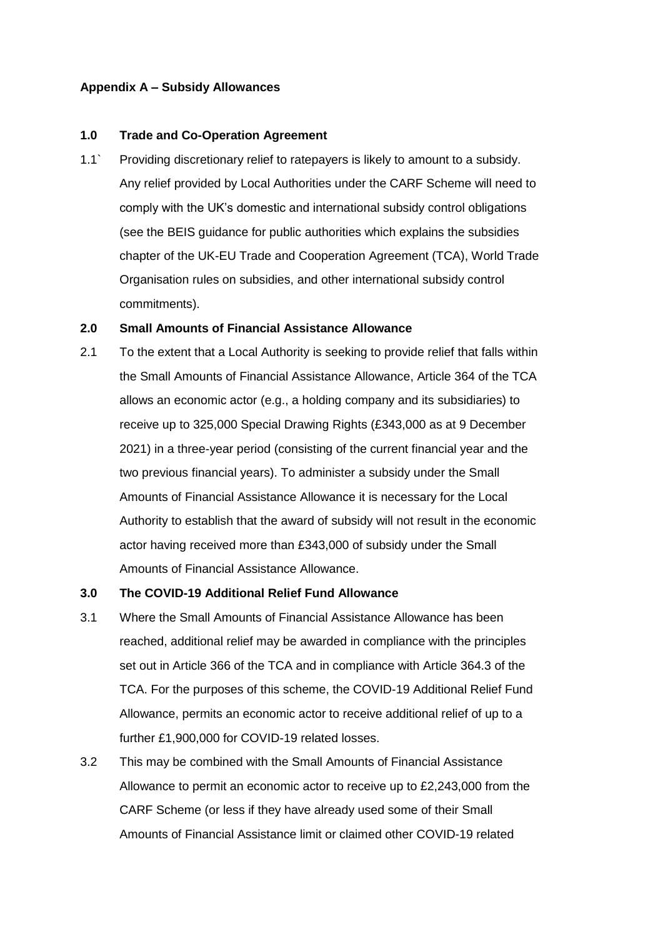# **Appendix A – Subsidy Allowances**

### **1.0 Trade and Co-Operation Agreement**

1.1` Providing discretionary relief to ratepayers is likely to amount to a subsidy. Any relief provided by Local Authorities under the CARF Scheme will need to comply with the UK's domestic and international subsidy control obligations (see the BEIS guidance for public authorities which explains the subsidies chapter of the UK-EU Trade and Cooperation Agreement (TCA), World Trade Organisation rules on subsidies, and other international subsidy control commitments).

### **2.0 Small Amounts of Financial Assistance Allowance**

2.1 To the extent that a Local Authority is seeking to provide relief that falls within the Small Amounts of Financial Assistance Allowance, Article 364 of the TCA allows an economic actor (e.g., a holding company and its subsidiaries) to receive up to 325,000 Special Drawing Rights (£343,000 as at 9 December 2021) in a three-year period (consisting of the current financial year and the two previous financial years). To administer a subsidy under the Small Amounts of Financial Assistance Allowance it is necessary for the Local Authority to establish that the award of subsidy will not result in the economic actor having received more than £343,000 of subsidy under the Small Amounts of Financial Assistance Allowance.

# **3.0 The COVID-19 Additional Relief Fund Allowance**

- 3.1 Where the Small Amounts of Financial Assistance Allowance has been reached, additional relief may be awarded in compliance with the principles set out in Article 366 of the TCA and in compliance with Article 364.3 of the TCA. For the purposes of this scheme, the COVID-19 Additional Relief Fund Allowance, permits an economic actor to receive additional relief of up to a further £1,900,000 for COVID-19 related losses.
- 3.2 This may be combined with the Small Amounts of Financial Assistance Allowance to permit an economic actor to receive up to £2,243,000 from the CARF Scheme (or less if they have already used some of their Small Amounts of Financial Assistance limit or claimed other COVID-19 related